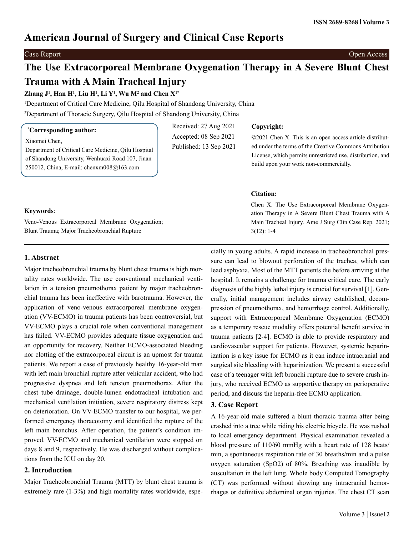# **American Journal of Surgery and Clinical Case Reports**

## Case Report Open Access

# **The Use Extracorporeal Membrane Oxygenation Therapy in A Severe Blunt Chest Trauma with A Main Tracheal Injury**

Received: 27 Aug 2021 Accepted: 08 Sep 2021 Published: 13 Sep 2021

**Zhang J1 , Han H1 , Liu H1 , Li Y1 , Wu M2 and Chen X1\***

1 Department of Critical Care Medicine, Qilu Hospital of Shandong University, China 2 Department of Thoracic Surgery, Qilu Hospital of Shandong University, China

# **\* Corresponding author:**

Xiaomei Chen,

Department of Critical Care Medicine, Qilu Hospital of Shandong University, Wenhuaxi Road 107, Jinan 250012, China, E-mail: chenxm008@163.com

# **Copyright:**

©2021 Chen X. This is an open access article distributed under the terms of the Creative Commons Attribution License, which permits unrestricted use, distribution, and build upon your work non-commercially.

### **Citation:**

Chen X. The Use Extracorporeal Membrane Oxygenation Therapy in A Severe Blunt Chest Trauma with A Main Tracheal Injury. Ame J Surg Clin Case Rep. 2021; 3(12): 1-4

# **Keywords**:

Veno-Venous Extracorporeal Membrane Oxygenation; Blunt Trauma; Major Tracheobronchial Rupture

# **1. Abstract**

Major tracheobronchial trauma by blunt chest trauma is high mortality rates worldwide. The use conventional mechanical ventilation in a tension pneumothorax patient by major tracheobronchial trauma has been ineffective with barotrauma. However, the application of veno-venous extracorporeal membrane oxygenation (VV-ECMO) in trauma patients has been controversial, but VV-ECMO plays a crucial role when conventional management has failed. VV-ECMO provides adequate tissue oxygenation and an opportunity for recovery. Neither ECMO-associated bleeding nor clotting of the extracorporeal circuit is an upmost for trauma patients. We report a case of previously healthy 16-year-old man with left main bronchial rupture after vehicular accident, who had progressive dyspnea and left tension pneumothorax. After the chest tube drainage, double-lumen endotracheal intubation and mechanical ventilation initiation, severe respiratory distress kept on deterioration. On VV-ECMO transfer to our hospital, we performed emergency thoracotomy and identified the rupture of the left main bronchus. After operation, the patient's condition improved. VV-ECMO and mechanical ventilation were stopped on days 8 and 9, respectively. He was discharged without complications from the ICU on day 20.

# **2. Introduction**

Major Tracheobronchial Trauma (MTT) by blunt chest trauma is extremely rare (1-3%) and high mortality rates worldwide, espe-

cially in young adults. A rapid increase in tracheobronchial pressure can lead to blowout perforation of the trachea, which can lead asphyxia. Most of the MTT patients die before arriving at the hospital. It remains a challenge for trauma critical care. The early diagnosis of the highly lethal injury is crucial for survival [1]. Generally, initial management includes airway established, decompression of pneumothorax, and hemorrhage control. Additionally, support with Extracorporeal Membrane Oxygenation (ECMO) as a temporary rescue modality offers potential benefit survive in trauma patients [2-4]. ECMO is able to provide respiratory and cardiovascular support for patients. However, systemic heparinization is a key issue for ECMO as it can induce intracranial and surgical site bleeding with heparinization. We present a successful case of a teenager with left bronchi rupture due to severe crush injury, who received ECMO as supportive therapy on perioperative period, and discuss the heparin-free ECMO application.

# **3. Case Report**

A 16-year-old male suffered a blunt thoracic trauma after being crashed into a tree while riding his electric bicycle. He was rushed to local emergency department. Physical examination revealed a blood pressure of 110/60 mmHg with a heart rate of 128 beats/ min, a spontaneous respiration rate of 30 breaths/min and a pulse oxygen saturation (SpO2) of 80%. Breathing was inaudible by auscultation in the left lung. Whole body Computed Tomography (CT) was performed without showing any intracranial hemorrhages or definitive abdominal organ injuries. The chest CT scan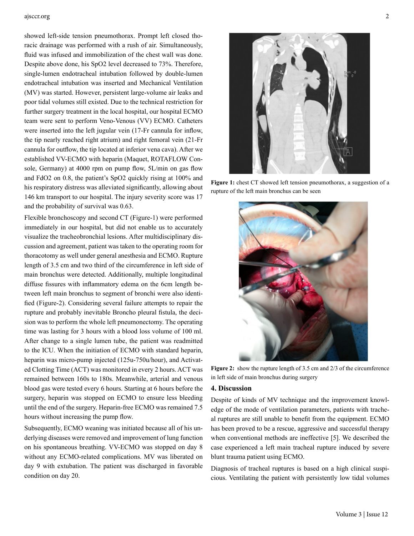#### ajsccr.org 2

showed left-side tension pneumothorax. Prompt left closed thoracic drainage was performed with a rush of air. Simultaneously, fluid was infused and immobilization of the chest wall was done. Despite above done, his SpO2 level decreased to 73%. Therefore, single-lumen endotracheal intubation followed by double-lumen endotracheal intubation was inserted and Mechanical Ventilation (MV) was started. However, persistent large-volume air leaks and poor tidal volumes still existed. Due to the technical restriction for further surgery treatment in the local hospital, our hospital ECMO team were sent to perform Veno-Venous (VV) ECMO. Catheters were inserted into the left jugular vein (17-Fr cannula for inflow, the tip nearly reached right atrium) and right femoral vein (21-Fr cannula for outflow, the tip located at inferior vena cava). After we established VV-ECMO with heparin (Maquet, ROTAFLOW Console, Germany) at 4000 rpm on pump flow, 5L/min on gas flow and FdO2 on 0.8, the patient's SpO2 quickly rising at 100% and his respiratory distress was alleviated significantly, allowing about 146 km transport to our hospital. The injury severity score was 17 and the probability of survival was 0.63.

Flexible bronchoscopy and second CT (Figure-1) were performed immediately in our hospital, but did not enable us to accurately visualize the tracheobronchial lesions. After multidisciplinary discussion and agreement, patient was taken to the operating room for thoracotomy as well under general anesthesia and ECMO. Rupture length of 3.5 cm and two third of the circumference in left side of main bronchus were detected. Additionally, multiple longitudinal diffuse fissures with inflammatory edema on the 6cm length between left main bronchus to segment of bronchi were also identified (Figure-2). Considering several failure attempts to repair the rupture and probably inevitable Broncho pleural fistula, the decision was to perform the whole left pneumonectomy. The operating time was lasting for 3 hours with a blood loss volume of 100 ml. After change to a single lumen tube, the patient was readmitted to the ICU. When the initiation of ECMO with standard heparin, heparin was micro-pump injected (125u-750u/hour), and Activated Clotting Time (ACT) was monitored in every 2 hours. ACT was remained between 160s to 180s. Meanwhile, arterial and venous blood gas were tested every 6 hours. Starting at 6 hours before the surgery, heparin was stopped on ECMO to ensure less bleeding until the end of the surgery. Heparin-free ECMO was remained 7.5 hours without increasing the pump flow.

Subsequently, ECMO weaning was initiated because all of his underlying diseases were removed and improvement of lung function on his spontaneous breathing. VV-ECMO was stopped on day 8 without any ECMO-related complications. MV was liberated on day 9 with extubation. The patient was discharged in favorable condition on day 20.



**Figure 1:** chest CT showed left tension pneumothorax, a suggestion of a rupture of the left main bronchus can be seen



Figure 2: show the rupture length of 3.5 cm and 2/3 of the circumference in left side of main bronchus during surgery

### **4. Discussion**

Despite of kinds of MV technique and the improvement knowledge of the mode of ventilation parameters, patients with tracheal ruptures are still unable to benefit from the equipment. ECMO has been proved to be a rescue, aggressive and successful therapy when conventional methods are ineffective [5]. We described the case experienced a left main tracheal rupture induced by severe blunt trauma patient using ECMO.

Diagnosis of tracheal ruptures is based on a high clinical suspicious. Ventilating the patient with persistently low tidal volumes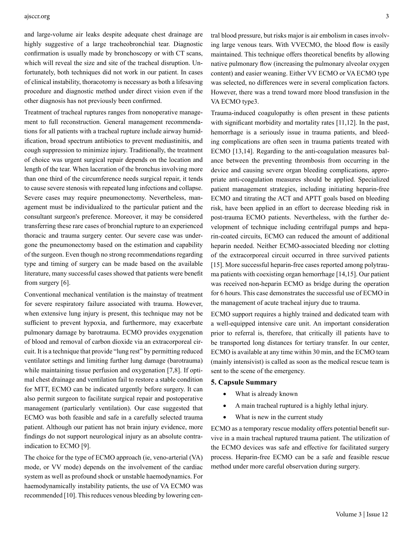#### ajsccr.org 3

and large-volume air leaks despite adequate chest drainage are highly suggestive of a large tracheobronchial tear. Diagnostic confirmation is usually made by bronchoscopy or with CT scans, which will reveal the size and site of the tracheal disruption. Unfortunately, both techniques did not work in our patient. In cases of clinical instability, thoracotomy is necessary as both a lifesaving procedure and diagnostic method under direct vision even if the other diagnosis has not previously been confirmed.

Treatment of tracheal ruptures ranges from nonoperative management to full reconstruction. General management recommendations for all patients with a tracheal rupture include airway humidification, broad spectrum antibiotics to prevent mediastinitis, and cough suppression to minimize injury. Traditionally, the treatment of choice was urgent surgical repair depends on the location and length of the tear. When laceration of the bronchus involving more than one third of the circumference needs surgical repair, it tends to cause severe stenosis with repeated lung infections and collapse. Severe cases may require pneumonectomy. Nevertheless, management must be individualized to the particular patient and the consultant surgeon's preference. Moreover, it may be considered transferring these rare cases of bronchial rupture to an experienced thoracic and trauma surgery center. Our severe case was undergone the pneumonectomy based on the estimation and capability of the surgeon. Even though no strong recommendations regarding type and timing of surgery can be made based on the available literature, many successful cases showed that patients were benefit from surgery [6].

Conventional mechanical ventilation is the mainstay of treatment for severe respiratory failure associated with trauma. However, when extensive lung injury is present, this technique may not be sufficient to prevent hypoxia, and furthermore, may exacerbate pulmonary damage by barotrauma. ECMO provides oxygenation of blood and removal of carbon dioxide via an extracorporeal circuit. It is a technique that provide "lung rest" by permitting reduced ventilator settings and limiting further lung damage (barotrauma) while maintaining tissue perfusion and oxygenation [7,8]. If optimal chest drainage and ventilation fail to restore a stable condition for MTT, ECMO can be indicated urgently before surgery. It can also permit surgeon to facilitate surgical repair and postoperative management (particularly ventilation). Our case suggested that ECMO was both feasible and safe in a carefully selected trauma patient. Although our patient has not brain injury evidence, more findings do not support neurological injury as an absolute contraindication to ECMO [9].

The choice for the type of ECMO approach (ie, veno-arterial (VA) mode, or VV mode) depends on the involvement of the cardiac system as well as profound shock or unstable haemodynamics. For haemodynamically instability patients, the use of VA ECMO was recommended [10]. This reduces venous bleeding by lowering central blood pressure, but risks major is air embolism in cases involving large venous tears. With VVECMO, the blood flow is easily maintained. This technique offers theoretical benefits by allowing native pulmonary flow (increasing the pulmonary alveolar oxygen content) and easier weaning. Either VV ECMO or VA ECMO type was selected, no differences were in several complication factors. However, there was a trend toward more blood transfusion in the VA ECMO type3.

Trauma-induced coagulopathy is often present in these patients with significant morbidity and mortality rates [11,12]. In the past, hemorrhage is a seriously issue in trauma patients, and bleeding complications are often seen in trauma patients treated with ECMO [13,14]. Regarding to the anti-coagulation measures balance between the preventing thrombosis from occurring in the device and causing severe organ bleeding complications, appropriate anti-coagulation measures should be applied. Specialized patient management strategies, including initiating heparin-free ECMO and titrating the ACT and APTT goals based on bleeding risk, have been applied in an effort to decrease bleeding risk in post-trauma ECMO patients. Nevertheless, with the further development of technique including centrifugal pumps and heparin-coated circuits, ECMO can reduced the amount of additional heparin needed. Neither ECMO-associated bleeding nor clotting of the extracorporeal circuit occurred in three survived patients [15]. More successful heparin-free cases reported among polytrauma patients with coexisting organ hemorrhage [14,15]. Our patient was received non-heparin ECMO as bridge during the operation for 6 hours. This case demonstrates the successful use of ECMO in the management of acute tracheal injury due to trauma.

ECMO support requires a highly trained and dedicated team with a well-equipped intensive care unit. An important consideration prior to referral is, therefore, that critically ill patients have to be transported long distances for tertiary transfer. In our center, ECMO is available at any time within 30 min, and the ECMO team (mainly intensivist) is called as soon as the medical rescue team is sent to the scene of the emergency.

#### **5. Capsule Summary**

- What is already known
- A main tracheal ruptured is a highly lethal injury.
- What is new in the current study

ECMO as a temporary rescue modality offers potential benefit survive in a main tracheal ruptured trauma patient. The utilization of the ECMO devices was safe and effective for facilitated surgery process. Heparin-free ECMO can be a safe and feasible rescue method under more careful observation during surgery.